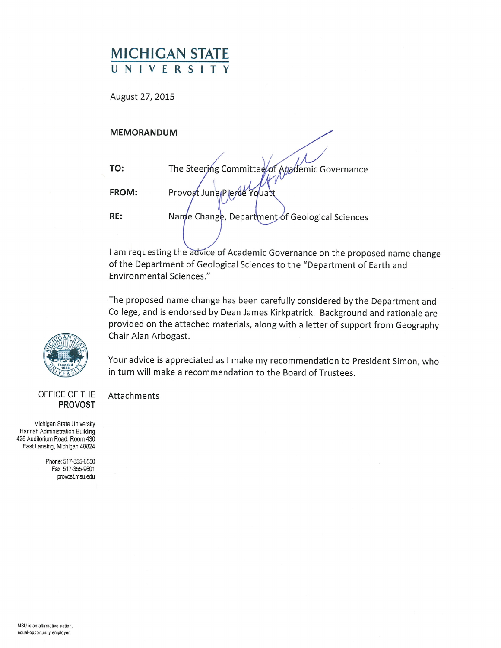# MICHIGAN STATE UNIVERSITY

August 27, 2015

### MEMORANDUM

| TO:          | The Steering Committee of Agademic Governance  |
|--------------|------------------------------------------------|
| <b>FROM:</b> | Provost June Pierce Youatt                     |
| RE:          | Name Change, Department of Geological Sciences |
|              |                                                |

I am requesting the advice of Academic Governance on the proposed name change of the Department of Geological Sciences to the "Department of Earth and Environmental Sciences."

The proposed name change has been carefully considered by the Department and College, and is endorsed by Dean James Kirkpatrick. Background and rationale are provided on the attached materials, along with <sup>a</sup> letter of support from Geography Chair Alan Arbogast.

Your advice is appreciated as <sup>I</sup> make my recommendation to President Simon, who in turn will make a recommendation to the Board of Trustees.

#### OFFICE OF THE Attachments PROVOST

Michigan State University Hannah Administration Building 426 Auditoñum Road, Room 430 East Lansing, Michigan 48824

> Phone: 517-355-6550 Fax: 517-355-9601 provostmsu.edu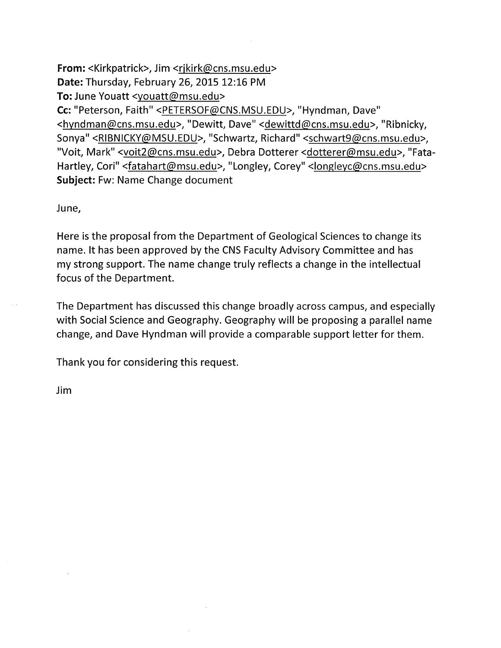From: <Kirkpatrick>, Jim <rjkirk@cns.msu.edu> Date: Thursday, February 26, 2015 12:16 PM To: June Youatt <youatt@msu.edu> Cc: "Peterson, Faith" <PETERSOF@CNS.MSU.EDU>, "Hyndman, Dave" <hyndman@cns.msu.edu>, "Dewitt, Dave" <dewittd@cns.msu.edu>, "Ribnicky, Sonya" <RIBNICKY@MSU.EDU>, "Schwartz, Richard" <schwart9@cns.msu.edu>, "Voit, Mark" <voit2@cns.msu.edu>, Debra Dotterer <dotterer@msu.edu>, "Fata-Hartley, Cori" <fatahart@msu.edu>, "Longley, Corey" <longleyc@cns.msu.edu> Subject: Fw: Name Change document

June,

Here is the proposal from the Department of Geological Sciences to change its name. It has been approved by the CNS Faculty Advisory Committee and has my strong support. The name change truly reflects <sup>a</sup> change in the intellectual focus of the Department.

The Department has discussed this change broadly across campus, and especially with Social Science and Geography. Geography will be proposing <sup>a</sup> parallel name change, and Dave Hyndman will provide <sup>a</sup> comparable support letter for them.

Thank you for considering this request.

Jim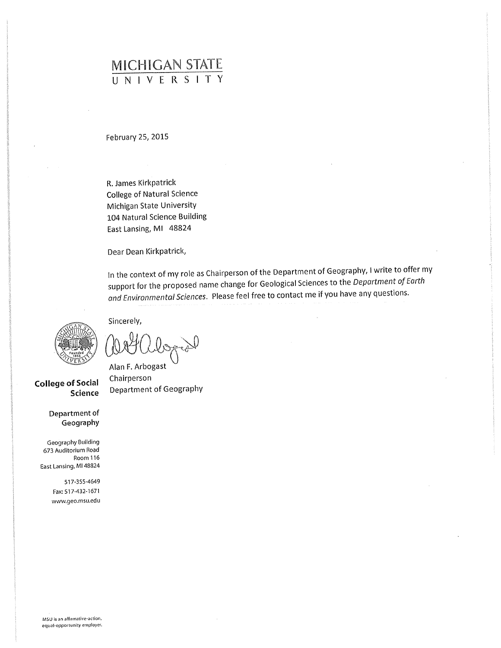# MICHIGAN STATE UNIVERSITY

February 25, 2015

R. James Kirkpatrick College of Natural Science Michigan State University 104 Natural Science Building East Lansing, Ml 48824

Dear Dean Kirkpatrick,

In the context of my role as Chairperson of the Department of Geography, <sup>I</sup> write to offer my support for the proposed name change for Geological Sciences to the Department of Earth and Environmental Sciences. Please feel free to contact me if you have any questions.



College of Social Chairperson

Department of Geography

Geography Building 673 Auditorium Road Room 116 East Lansing, Ml 48824

> 517-355-4649 Fax: 517-432-1671 www.geo.msu.edu

Sincerely,

Alan F. Arbogast Science Department of Geography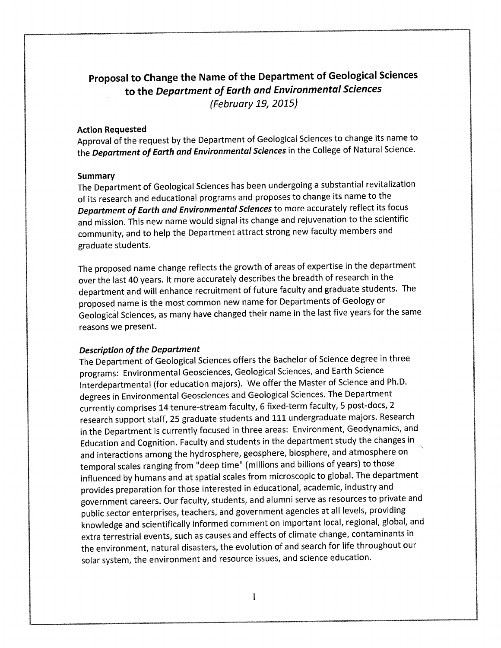# Proposal to Change the Name of the Department of Geological Sciences to the Department of Earth and Environmental Sciences (February 19, 2015)

#### Action Requested

Approval of the request by the Department of Geological Sciences to change its name to the **Department of Earth and Environmental Sciences** in the College of Natural Science.

#### **Summary**

The Department of Geological Sciences has been undergoing <sup>a</sup> substantial revitalization of its research and educational programs and proposes to change its name to the Department of Earth and Environmental Sciences to more accurately reflect its focus and mission. This new name would signal its change and rejuvenation to the scientific community, and to help the Department attract strong new faculty members and graduate students.

The proposed name change reflects the growth of areas of expertise in the department over the last 40 years. It more accurately describes the breadth of research in the department and will enhance recruitment of future faculty and graduate students. The proposed name is the most common new name for Departments of Geology or Geological Sciences, as many have changed their name in the last five years for the same reasons we present.

#### Description of the Department

The Department of Geological Sciences offers the Bachelor of Science degree in three programs: Environmental Geosciences, Geological Sciences, and Earth Science interdepartmental (for education majors). We offer the Master of Science and Ph.D. degrees in Environmental Geosciences and Geological Sciences. The Department currently comprises 14 tenure-stream faculty, 6 fixed-term faculty, 5 post-docs, 2 research support staff, 25 graduate students and 111 undergraduate majors. Research in the Department is currently focused in three areas: Environment, Geodynamics, and Education and Cognition. Faculty and students in the department study the changes in and interactions among the hydrosphere, geosphere, biosphere, and atmosphere on temporal scales ranging from "deep time" (millions and billions of years) to those influenced by humans and at spatial scales from microscopic to global. The department provides preparation for those interested in educational, academic, industry and government careers. Our faculty, students, and alumni serve as resources to private and public sector enterprises, teachers, and government agencies at all levels, providing knowledge and scientifically informed comment on important local, regional, global, and extra terrestrial events, such as causes and effects of climate change, contaminants in the environment, natural disasters, the evolution of and search for life throughout our solar system, the environment and resource issues, and science education.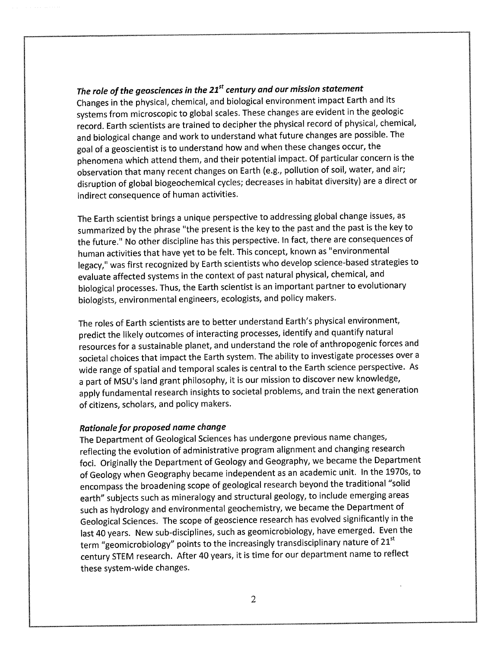## The role of the geosciences in the  $21^{st}$  century and our mission statement

Changes in the physical, chemical, and biological environment impact Earth and its systems from microscopic to global scales. These changes are evident in the geologic record. Earth scientists are trained to decipher the physical record of physical, chemical, and biological change and work to understand what future changes are possible. The goal of <sup>a</sup> geoscientist is to understand how and when these changes occur, the phenomena which attend them, and their potential impact. Of particular concern is the observation that many recent changes on Earth (e.g., pollution of soil, water, and air; disruption of global biogeochemical cycles; decreases in habitat diversity) are <sup>a</sup> direct or indirect consequence of human activities.

The Earth scientist brings <sup>a</sup> unique perspective to addressing global change issues, as summarized by the phrase "the present is the key to the past and the past is the key to the future." No other discipline has this perspective. In fact, there are consequences of human activities that have yet to be felt. This concept, known as "environmental legacy," was first recognized by Earth scientists who develop science-based strategies to evaluate affected systems in the context of past natural physical, chemical, and biological processes. Thus, the Earth scientist is an important partner to evolutionary biologists, environmental engineers, ecologists, and policy makers.

The roles of Earth scientists are to better understand Earth's physical environment, predict the likely outcomes of interacting processes, identify and quantify natural resources for <sup>a</sup> sustainable planet, and understand the role of anthropogenic forces and societal choices that impact the Earth system. The ability to investigate processes over <sup>a</sup> wide range of spatial and temporal scales is central to the Earth science perspective. As <sup>a</sup> part of MSU's land grant philosophy, it is our mission to discover new knowledge, apply fundamental research insights to societal problems, and train the next generation of citizens, scholars, and policy makers.

#### Rationale for proposed name change

The Department of Geological Sciences has undergone previous name changes, reflecting the evolution of administrative program alignment and changing research foci. Originally the Department of Geology and Geography, we became the Department of Geology when Geography became independent as an academic unit. In the 1970s, to encompass the broadening scope of geological research beyond the traditional "solid earth" subjects such as mineralogy and structural geology, to include emerging areas such as hydrology and environmental geochemistry, we became the Department of Geological Sciences. The scope of geoscience research has evolved significantly in the last 40 years. New sub-disciplines, such as geomicrobiology, have emerged. Even the term "geomicrobiology" points to the increasingly transdisciplinary nature of 21<sup>st</sup> century STEM research. After 40 years, it is time for our department name to reflect these system-wide changes.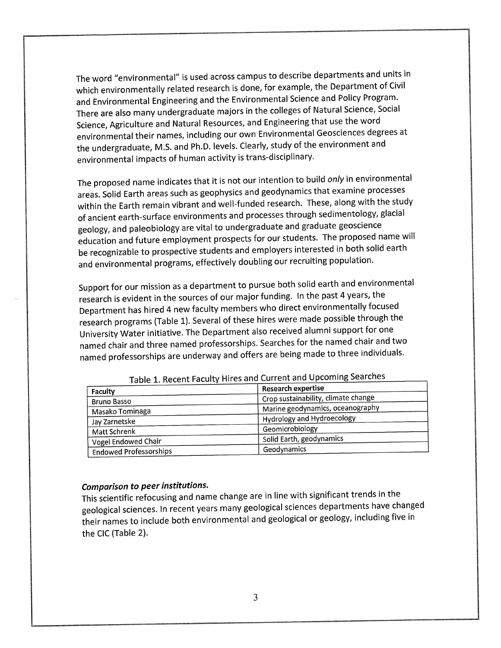The word "environmental" is used across campus to describe departments and units in which environmentally related research is done, for example, the Department of Civil and Environmental Engineering and the Environmental Science and Policy Program. There are also many undergraduate majors in the colleges of Natural Science, Social Science, Agriculture and Natural Resources, and Engineering that use the word environmental their names, including our own Environmental Geosciences degrees at the undergraduate, M.S. and Ph.D. levels. Clearly, study of the environment and environmental impacts of human activity is trans-disciplinary.

The proposed name indicates that it is not our intention to build only in environmental areas. Solid Earth areas such as geophysics and geodynamics that examine processes within the Earth remain vibrant and well-funded research. These, along with the study of ancient earth-surface environments and processes through sedimentology, glacial geology, and paleobiology are vital to undergraduate and graduate geoscience education and future employment prospects for our students. The proposed name will be recognizable to prospective students and employers interested in both solid earth and environmental programs, effectively doubling our recruiting population.

Support for our mission as <sup>a</sup> department to pursue both solid earth and environmental research is evident in the sources of our major funding. In the past 4 years, the Department has hired 4 new faculty members who direct environmentally focused research programs (Table 1). Several of these hires were made possible through the University Water initiative. The Department also received alumni support for one named chair and three named professorships. Searches for the named chair and two named professorships are underway and offers are being made to three individuals.

| <b>Faculty</b>                | <b>Research expertise</b>           |
|-------------------------------|-------------------------------------|
| <b>Bruno Basso</b>            | Crop sustainability, climate change |
| Masako Tominaga               | Marine geodynamics, oceanography    |
| Jay Zarnetske                 | Hydrology and Hydroecology          |
| Matt Schrenk                  | Geomicrobiology                     |
| Vogel Endowed Chair           | Solid Earth, geodynamics            |
| <b>Endowed Professorships</b> | Geodynamics                         |

Table 1. Recent Faculty Hires and Current and Upcoming Searches

## Comparison to peer institutions.

This scientific refocusing and name change are in line with significant trends in the geological sciences. In recent years many geological sciences departments have changed their names to include both environmental and geological or geology, including five in the CIC (Table 2).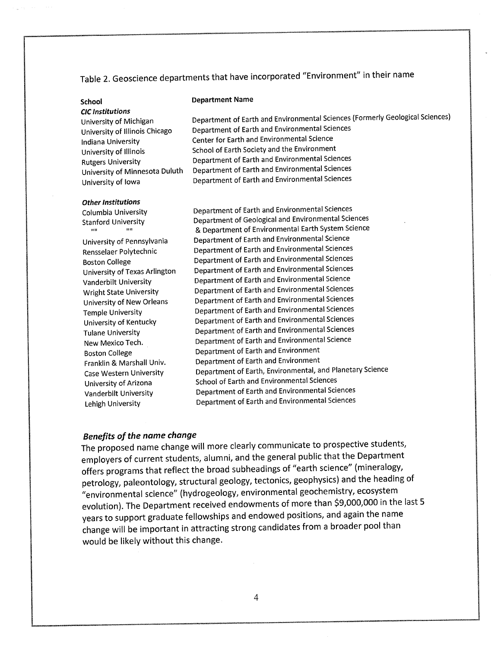# Table 2. Geoscience departments that have incorporated "Environment" in their name

CIC Institutions

#### School Department Name

University of Michigan Department of Earth and Environmental Sciences (Formerly Geological Sciences) University of Illinois Chicago Department of Earth and Environmental Sciences Indiana University Center for Earth and Environmental Science University of Illinois School of Earth Society and the Environment Rutgers University Department of Earth and Environmental Sciences Department of Earth and Environmental Sciences University of Iowa Department of Earth and Environmental Sciences

#### Other Institutions

 $\mathbf{u}$ 

Columbia University Department of Earth and Environmental Sciences Stanford University Department of Geological and Environmental Sciences & Department of Environmental Earth System Science University of Pennsylvania Department of Earth and Environmental Science Rensselaer Polytechnic Department of Earth and Environmental Sciences Boston College Department of Earth and Environmental Sciences University of Texas Arlington Department of Earth and Environmental Sciences Vanderbilt University Department of Earth and Environmental Science Wright State University Department of Earth and Environmental Sciences University of New Orleans Department of Earth and Environmental Sciences Temple University Department of Earth and Environmental Sciences University of Kentucky Department of Earth and Environmental Sciences Tulane University Department of Earth and Environmental Sciences New Mexico Tech. Department of Earth and Environmental Science Boston College **Department of Earth and Environment** Franklin & Marshall Univ. Department of Earth and Environment Case Western University Department of Earth, Environmental, and Planetary Science University of Arizona School of Earth and Environmental Sciences Vanderbilt University Department of Earth and Environmental Sciences Lehigh University Department of Earth and Environmental Sciences

#### Benefits of the name change

The proposed name change will more clearly communicate to prospective students, employers of current students, alumni, and the general public that the Department offers programs that reflect the broad subheadings of "earth science" (mineralogy, petrology, paleontology, structural geology, tectonics, geophysics) and the heading of "environmental science" (hydrogeology, environmental geochemistry, ecosystem evolution). The Department received endowments of more than \$9,000,000 in the last 5 years to support graduate fellowships and endowed positions, and again the name change will be important in attracting strong candidates from <sup>a</sup> broader pool than would be likely without this change.